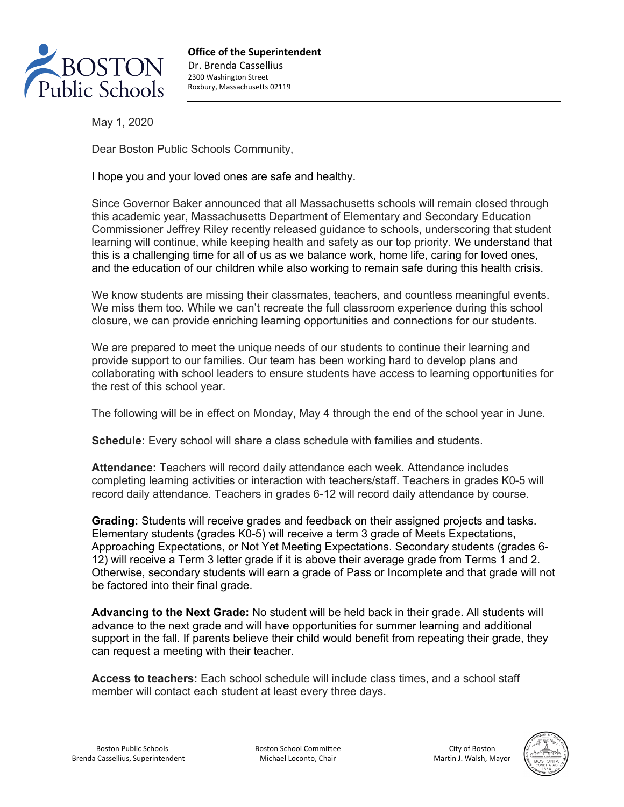

**Office of the Superintendent** Dr. Brenda Cassellius 2300 Washington Street Roxbury, Massachusetts 02119

May 1, 2020

Dear Boston Public Schools Community,

I hope you and your loved ones are safe and healthy.

Since Governor Baker announced that all Massachusetts schools will remain closed through this academic year, Massachusetts Department of Elementary and Secondary Education Commissioner Jeffrey Riley recently released guidance to schools, underscoring that student learning will continue, while keeping health and safety as our top priority. We understand that this is a challenging time for all of us as we balance work, home life, caring for loved ones, and the education of our children while also working to remain safe during this health crisis.

We know students are missing their classmates, teachers, and countless meaningful events. We miss them too. While we can't recreate the full classroom experience during this school closure, we can provide enriching learning opportunities and connections for our students.

We are prepared to meet the unique needs of our students to continue their learning and provide support to our families. Our team has been working hard to develop plans and collaborating with school leaders to ensure students have access to learning opportunities for the rest of this school year.

The following will be in effect on Monday, May 4 through the end of the school year in June.

**Schedule:** Every school will share a class schedule with families and students.

**Attendance:** Teachers will record daily attendance each week. Attendance includes completing learning activities or interaction with teachers/staff. Teachers in grades K0-5 will record daily attendance. Teachers in grades 6-12 will record daily attendance by course.

**Grading:** Students will receive grades and feedback on their assigned projects and tasks. Elementary students (grades K0-5) will receive a term 3 grade of Meets Expectations, Approaching Expectations, or Not Yet Meeting Expectations. Secondary students (grades 6- 12) will receive a Term 3 letter grade if it is above their average grade from Terms 1 and 2. Otherwise, secondary students will earn a grade of Pass or Incomplete and that grade will not be factored into their final grade.

**Advancing to the Next Grade:** No student will be held back in their grade. All students will advance to the next grade and will have opportunities for summer learning and additional support in the fall. If parents believe their child would benefit from repeating their grade, they can request a meeting with their teacher.

**Access to teachers:** Each school schedule will include class times, and a school staff member will contact each student at least every three days.